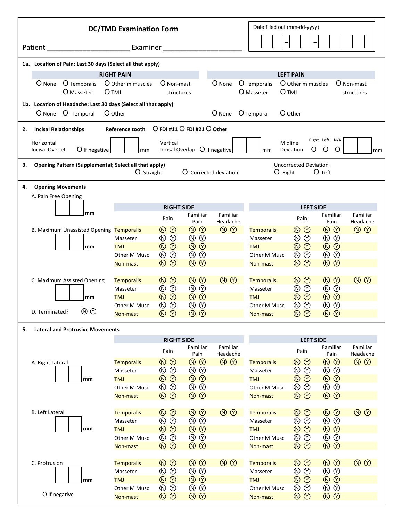| Date filled out (mm-dd-yyyy)<br><b>DC/TMD Examination Form</b> |                                                                |                             |                                         |                                                       |                                                                    |                                                                      |                                  |                               |                                                                    |                                                                      |                                  |
|----------------------------------------------------------------|----------------------------------------------------------------|-----------------------------|-----------------------------------------|-------------------------------------------------------|--------------------------------------------------------------------|----------------------------------------------------------------------|----------------------------------|-------------------------------|--------------------------------------------------------------------|----------------------------------------------------------------------|----------------------------------|
|                                                                | Patient                                                        |                             |                                         |                                                       |                                                                    |                                                                      |                                  |                               |                                                                    |                                                                      |                                  |
|                                                                | 1a. Location of Pain: Last 30 days (Select all that apply)     |                             |                                         |                                                       |                                                                    |                                                                      |                                  |                               |                                                                    |                                                                      |                                  |
|                                                                |                                                                |                             |                                         | <b>RIGHT PAIN</b>                                     |                                                                    |                                                                      |                                  |                               | <b>LEFT PAIN</b>                                                   |                                                                      |                                  |
|                                                                | O None                                                         | O Temporalis<br>O Masseter  |                                         | O Other m muscles<br><b>O</b> TMJ                     | O Non-mast<br>structures                                           |                                                                      | O None                           | O Temporalis<br>O Masseter    | O Other m muscles<br><b>O</b> TMJ                                  |                                                                      | O Non-mast<br>structures         |
|                                                                | 1b. Location of Headache: Last 30 days (Select all that apply) |                             |                                         |                                                       |                                                                    |                                                                      |                                  |                               |                                                                    |                                                                      |                                  |
|                                                                | O None                                                         | O Temporal                  |                                         | O Other                                               |                                                                    |                                                                      | $O$ None                         | O Temporal                    | O Other                                                            |                                                                      |                                  |
| <b>Incisal Relationships</b><br>2.                             |                                                                |                             |                                         |                                                       |                                                                    |                                                                      |                                  |                               |                                                                    |                                                                      |                                  |
|                                                                | Horizontal<br>Incisal Overjet                                  |                             | $O$ If negative                         | mm                                                    | Vertical                                                           | Incisal Overlap O If negative                                        |                                  | mm                            | Midline<br>Deviation                                               | Right Left N/A<br>O O<br>O                                           | mm                               |
| З.                                                             |                                                                |                             |                                         | Opening Pattern (Supplemental; Select all that apply) |                                                                    |                                                                      |                                  |                               | <b>Uncorrected Deviation</b>                                       |                                                                      |                                  |
| O Straight<br><b>O</b> Corrected deviation                     |                                                                |                             |                                         |                                                       |                                                                    |                                                                      |                                  | $O$ Right                     |                                                                    | O Left                                                               |                                  |
| 4.                                                             |                                                                | <b>Opening Movements</b>    |                                         |                                                       |                                                                    |                                                                      |                                  |                               |                                                                    |                                                                      |                                  |
|                                                                |                                                                | A. Pain Free Opening        |                                         |                                                       |                                                                    |                                                                      |                                  |                               |                                                                    |                                                                      |                                  |
|                                                                |                                                                |                             |                                         |                                                       | <b>RIGHT SIDE</b>                                                  |                                                                      |                                  |                               | <b>LEFT SIDE</b>                                                   |                                                                      |                                  |
|                                                                |                                                                |                             | mm                                      |                                                       | Pain                                                               | Familiar<br>Pain                                                     | Familiar<br>Headache             |                               | Pain                                                               | Familiar<br>Pain                                                     | Familiar<br>Headache             |
|                                                                |                                                                |                             |                                         | B. Maximum Unassisted Opening Temporalis              | $\circledcirc$                                                     | $\circledR$                                                          | $\circledR$                      | <b>Temporalis</b>             | $\circledR$                                                        | $\circledR$                                                          | $\circledR$                      |
|                                                                |                                                                |                             |                                         | Masseter                                              | $\circledcirc$                                                     | $\circledR$                                                          |                                  | Masseter                      | $\circledR$                                                        | $\circledR$                                                          |                                  |
|                                                                |                                                                |                             | mm                                      | <b>TMJ</b>                                            | $\circledR$                                                        | $\circledR$                                                          |                                  | <b>TMJ</b>                    | $\circledR$                                                        | $\circledR$                                                          |                                  |
|                                                                |                                                                |                             |                                         | Other M Musc                                          | $\circledR$                                                        | $\circledR$                                                          |                                  | Other M Musc                  | $^\circledR$<br>$^{\circledR}$                                     | $\circledcirc$                                                       |                                  |
|                                                                |                                                                |                             |                                         | Non-mast                                              | $\circledR$                                                        | $\circledR$                                                          |                                  | Non-mast                      | $\circledR$                                                        | $\circledR$                                                          |                                  |
|                                                                |                                                                |                             |                                         |                                                       |                                                                    | $\circledR$                                                          | $\circledR$                      |                               | $\circledcirc$                                                     | $\circledR$                                                          | $\circledR$                      |
|                                                                |                                                                | C. Maximum Assisted Opening |                                         | <b>Temporalis</b><br>Masseter                         | $\circledcirc$<br>$\circledcirc$                                   | $\circledR$                                                          |                                  | <b>Temporalis</b><br>Masseter | $^\circledR$<br>$^{\circledR}$                                     | $\circledcirc$                                                       |                                  |
|                                                                |                                                                |                             | mm                                      | <b>TMJ</b>                                            | $\circledR$                                                        | $\circledR$                                                          |                                  | <b>TMJ</b>                    | $\circledR$                                                        | $\circledR$                                                          |                                  |
|                                                                |                                                                |                             |                                         | Other M Musc                                          | $\circledR$                                                        | $\circledR$                                                          |                                  | Other M Musc                  | $\circledcirc$                                                     | $\circledcirc$                                                       |                                  |
|                                                                | D. Terminated?                                                 |                             | $\circledcirc$                          | Non-mast                                              | $\circledcirc$                                                     | $\circledcirc$                                                       |                                  | Non-mast                      | $\circledcirc$                                                     | $\circledcirc$                                                       |                                  |
|                                                                |                                                                |                             |                                         |                                                       |                                                                    |                                                                      |                                  |                               |                                                                    |                                                                      |                                  |
| 5.                                                             |                                                                |                             | <b>Lateral and Protrusive Movements</b> |                                                       |                                                                    |                                                                      |                                  |                               |                                                                    |                                                                      |                                  |
|                                                                |                                                                |                             |                                         |                                                       | <b>RIGHT SIDE</b>                                                  | Familiar                                                             | Familiar                         |                               | <b>LEFT SIDE</b>                                                   | Familiar                                                             | Familiar                         |
|                                                                |                                                                |                             |                                         |                                                       | Pain                                                               | Pain                                                                 | Headache                         |                               | Pain                                                               | Pain                                                                 | Headache                         |
|                                                                | A. Right Lateral                                               |                             |                                         | <b>Temporalis</b>                                     | $\circledR$                                                        | $\circledR$                                                          | $\circledR$                      | <b>Temporalis</b>             | $^{\circledR}$<br>$\circledcirc$                                   | $^{\circledR}$<br>$\circledcirc$                                     | $\circledR$                      |
|                                                                |                                                                |                             |                                         | Masseter                                              | $\circledcirc$<br>$^\circledR$                                     | $^{\circledR}$<br>$\circledcirc$                                     |                                  | Masseter                      | $\circledcirc$<br>$^\circledR$                                     | $^{\circledR}$<br>$\circledcirc$                                     |                                  |
|                                                                |                                                                |                             | mm                                      | <b>TMJ</b>                                            | $\circledcirc$<br>$^{\circledR}$                                   | $\circledR$                                                          |                                  | <b>TMJ</b>                    | $^{\circledR}$<br>$\circledcirc$                                   | $^{\circledR}$<br>$\circledcirc$                                     |                                  |
|                                                                |                                                                |                             |                                         | Other M Musc                                          | $^{\circledR}$<br>$\circledcirc$                                   | $^{\circledR}$<br>$\circledcirc$                                     |                                  | Other M Musc                  | $^\circledR$<br>$\circledcirc$                                     | $^\circledR$<br>$\circledcirc$                                       |                                  |
|                                                                |                                                                |                             |                                         | Non-mast                                              | $\circledcirc$<br>$^{\circledR}$                                   | $^{\circledR}$<br>$\circledcirc$                                     |                                  | Non-mast                      | $\circledcirc$<br>$^{\circledR}$                                   | $^{\circledR}$<br>$\circledcirc$                                     |                                  |
|                                                                | <b>B.</b> Left Lateral                                         |                             |                                         | <b>Temporalis</b>                                     | $\circledcirc$<br>$^{\circledR}$                                   | $\circledcirc$<br>$^{\circledR}$                                     | $^{\circledR}$<br>$\circledcirc$ | <b>Temporalis</b>             | $^{\circledR}$<br>$\circledcirc$                                   | $\circledcirc$<br>$^{\circledR}$                                     | $^{\circledR}$<br>$\circledcirc$ |
|                                                                |                                                                |                             |                                         | Masseter                                              | $^{\circledR}$<br>$\circledcirc$                                   | $^{\circledR}$<br>$\circledcirc$                                     |                                  | Masseter                      | $\circledcirc$<br>$^\circledR$                                     | $\circledcirc$<br>$^{\circledR}$                                     |                                  |
|                                                                |                                                                |                             | mm                                      | <b>TMJ</b>                                            | $^{\circledR}$<br>$\circledcirc$                                   | $\circledR$                                                          |                                  | <b>TMJ</b>                    | $\circledcirc$<br>$^{\circledR}$                                   | $\circledR$                                                          |                                  |
|                                                                |                                                                |                             |                                         | Other M Musc                                          | $^\circledR$<br>$\circledcirc$                                     | $\circledR$                                                          |                                  | Other M Musc                  | $^\circledR$<br>$\circledcirc$                                     | $\circledcirc$                                                       |                                  |
|                                                                |                                                                |                             |                                         | Non-mast                                              | $\circledcirc$<br>$^{\circledR}$                                   | $\circledR$                                                          |                                  | Non-mast                      | $^{\circledR}$<br>$\circledcirc$                                   | $\circledR$                                                          |                                  |
|                                                                |                                                                |                             |                                         |                                                       |                                                                    |                                                                      |                                  |                               |                                                                    |                                                                      |                                  |
|                                                                | C. Protrusion                                                  |                             |                                         | <b>Temporalis</b>                                     | $\circledcirc$<br>$^{\circledR}$<br>$\circledcirc$<br>$^\circledR$ | $\circledcirc$<br>$^{\circledR}$<br>$^{\circledR}$<br>$\circledcirc$ | $^{\circledR}$<br>$\circledcirc$ | <b>Temporalis</b>             | $^{\circledR}$<br>$\circledcirc$<br>$\circledcirc$<br>$^\circledR$ | $^{\circledR}$<br>$\circledcirc$<br>$\circledcirc$<br>$^{\circledR}$ | $\circledR$                      |
|                                                                |                                                                |                             | mm                                      | Masseter<br><b>TMJ</b>                                | $\circledcirc$<br>$^{\circledR}$                                   | $\circledR$                                                          |                                  | Masseter<br><b>TMJ</b>        | $\circledcirc$<br>$^{\circledR}$                                   | $\circledR$                                                          |                                  |
|                                                                |                                                                |                             |                                         | Other M Musc                                          | $^{\circledR}$<br>$\circledcirc$                                   | $\circledcirc$<br>$^{\circledR}$                                     |                                  | Other M Musc                  | $\circledcirc$<br>$^\circledR$                                     | $\circledcirc$<br>$^{\circledR}$                                     |                                  |
|                                                                |                                                                | O If negative               |                                         | Non-mast                                              | $\circledR$                                                        | $\circledR$                                                          |                                  | Non-mast                      | $\circledcirc$<br>$^{\circledR}$                                   | $\circledcirc$                                                       |                                  |
|                                                                |                                                                |                             |                                         |                                                       |                                                                    |                                                                      |                                  |                               |                                                                    |                                                                      |                                  |